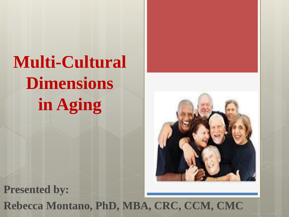**Multi-Cultural Dimensions in Aging**



**Presented by: Rebecca Montano, PhD, MBA, CRC, CCM, CMC**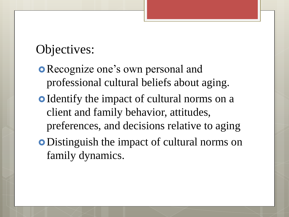## Objectives:

Recognize one's own personal and professional cultural beliefs about aging. • Identify the impact of cultural norms on a client and family behavior, attitudes, preferences, and decisions relative to aging Distinguish the impact of cultural norms on family dynamics.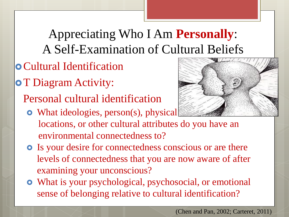## Appreciating Who I Am **Personally**: A Self-Examination of Cultural Beliefs

- Cultural Identification
- **o T Diagram Activity:** 
	- Personal cultural identification



- What ideologies, person(s), physical locations, or other cultural attributes do you have an environmental connectedness to?
- Is your desire for connectedness conscious or are there levels of connectedness that you are now aware of after examining your unconscious?
- What is your psychological, psychosocial, or emotional sense of belonging relative to cultural identification?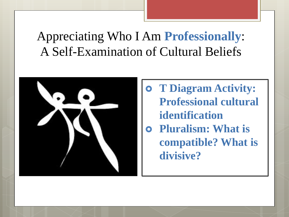### Appreciating Who I Am **Professionally**: A Self-Examination of Cultural Beliefs



 **T Diagram Activity: Professional cultural identification Pluralism: What is** 

**compatible? What is divisive?**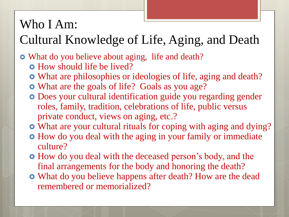# Who I Am: Cultural Knowledge of Life, Aging, and Death

- What do you believe about aging, life and death? • How should life be lived?
	- What are philosophies or ideologies of life, aging and death?
	- What are the goals of life? Goals as you age?
	- Does your cultural identification guide you regarding gender roles, family, tradition, celebrations of life, public versus private conduct, views on aging, etc.?
	- What are your cultural rituals for coping with aging and dying?
	- How do you deal with the aging in your family or immediate culture?
	- How do you deal with the deceased person's body, and the final arrangements for the body and honoring the death?
	- What do you believe happens after death? How are the dead remembered or memorialized?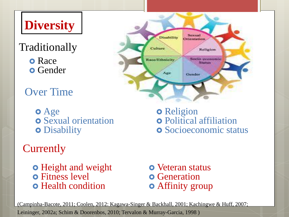# **Diversity**

### Traditionally

**o** Race **o** Gender

### Over Time

o Age **o** Sexual orientation **o** Disability

#### **Currently**

**•** Height and weight **o** Fitness level **o** Health condition

**o** Religion Political affiliation Socioeconomic status

Sexual

Gender

**Orientation** 

Religion

Socio-economic

Status

**Disability** 

Age

Culture

Race/Ethnicity

 Veteran status **o** Generation Affinity group

(Campinha-Bacote, 2011; Coolen, 2012: Kagawa-Singer & Backhall, 2001; Kachingwe & Huff, 2007; Leininger, 2002a; Schim & Doorenbos, 2010; Tervalon & Murray-Garcia, 1998 )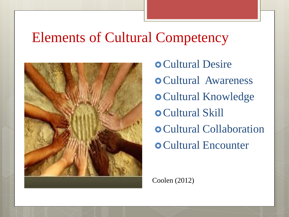### Elements of Cultural Competency



Cultural Desire Cultural Awareness Cultural Knowledge Cultural Skill Cultural Collaboration Cultural Encounter

Coolen (2012)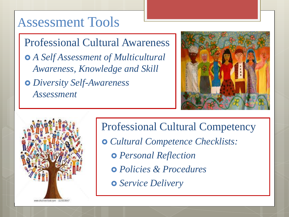### Assessment Tools

Professional Cultural Awareness *A Self Assessment of Multicultural Awareness, Knowledge and Skill Diversity Self-Awareness Assessment* 





Professional Cultural Competency *Cultural Competence Checklists: Personal Reflection Policies & Procedures Service Delivery*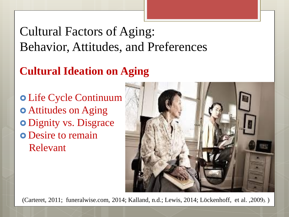# Cultural Factors of Aging: Behavior, Attitudes, and Preferences

#### **Cultural Ideation on Aging**

 Life Cycle Continuum **• Attitudes on Aging o** Dignity vs. Disgrace **o** Desire to remain Relevant



(Carteret, 2011; funeralwise.com, 2014; Kalland, n.d.; Lewis, 2014; Löckenhoff, et al. ,2009). )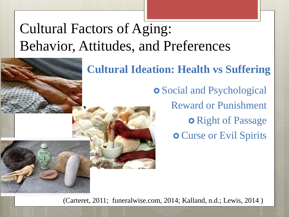# Cultural Factors of Aging: Behavior, Attitudes, and Preferences

Ĭ

**Cultural Ideation: Health vs Suffering**

**o** Social and Psychological Reward or Punishment **o** Right of Passage Curse or Evil Spirits

(Carteret, 2011; funeralwise.com, 2014; Kalland, n.d.; Lewis, 2014 )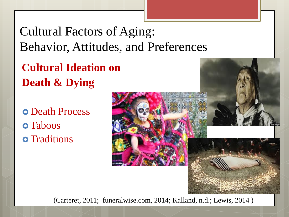# Cultural Factors of Aging: Behavior, Attitudes, and Preferences

**Cultural Ideation on Death & Dying**

**o** Death Process **o** Taboos **o** Traditions



(Carteret, 2011; funeralwise.com, 2014; Kalland, n.d.; Lewis, 2014 )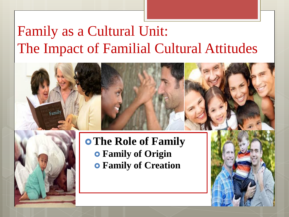# Family as a Cultural Unit: The Impact of Familial Cultural Attitudes





**The Role of Family Family of Origin Family of Creation**

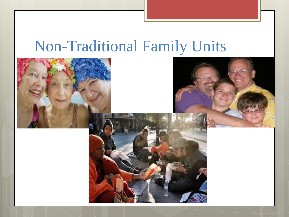# Non-Traditional Family Units





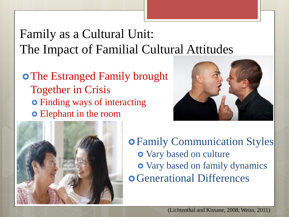# Family as a Cultural Unit: The Impact of Familial Cultural Attitudes

The Estranged Family brought Together in Crisis Finding ways of interacting Elephant in the room





Family Communication Styles Vary based on culture **o** Vary based on family dynamics **o** Generational Differences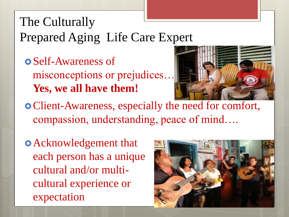# The Culturally Prepared Aging Life Care Expert

**o** Self-Awareness of misconceptions or prejudices… **Yes, we all have them!**



- Client-Awareness, especially the need for comfort, compassion, understanding, peace of mind….
- Acknowledgement that each person has a unique cultural and/or multicultural experience or expectation

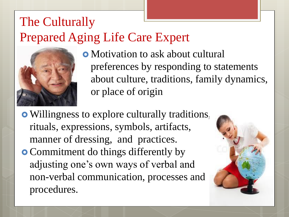# The Culturally Prepared Aging Life Care Expert



- Motivation to ask about cultural preferences by responding to statements about culture, traditions, family dynamics, or place of origin
- Willingness to explore culturally traditions, rituals, expressions, symbols, artifacts, manner of dressing, and practices. **• Commitment do things differently by** adjusting one's own ways of verbal and non-verbal communication, processes and procedures.

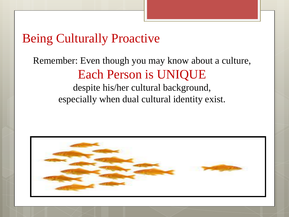#### Being Culturally Proactive

#### Remember: Even though you may know about a culture, Each Person is UNIQUE despite his/her cultural background, especially when dual cultural identity exist.

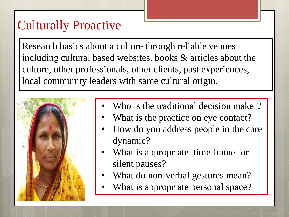### Culturally Proactive

Research basics about a culture through reliable venues including cultural based websites. books & articles about the culture, other professionals, other clients, past experiences, local community leaders with same cultural origin.



- Who is the traditional decision maker?
- What is the practice on eye contact?
- How do you address people in the care dynamic?
- What is appropriate time frame for silent pauses?
- What do non-verbal gestures mean?
- What is appropriate personal space?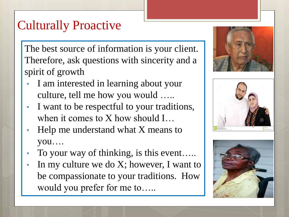### Culturally Proactive

The best source of information is your client. Therefore, ask questions with sincerity and a spirit of growth

- I am interested in learning about your culture, tell me how you would …..
- I want to be respectful to your traditions, when it comes to X how should I...
- Help me understand what X means to you….
- To your way of thinking, is this event…..
- In my culture we do  $X$ ; however, I want to be compassionate to your traditions. How would you prefer for me to…..





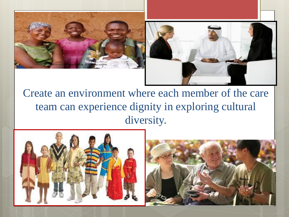



#### Create an environment where each member of the care team can experience dignity in exploring cultural diversity.

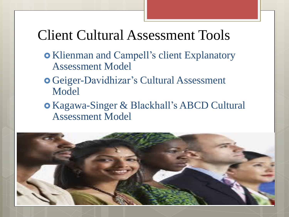# Client Cultural Assessment Tools

- **o** Klienman and Campell's client Explanatory Assessment Model
- Geiger-Davidhizar's Cultural Assessment Model
- Kagawa-Singer & Blackhall's ABCD Cultural Assessment Model

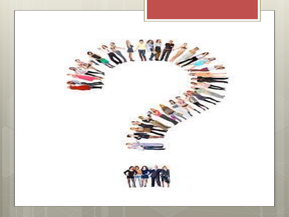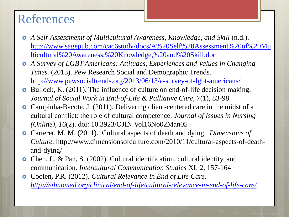- *A Self-Assessmemt of Multicultural Awareness, Knowledge, and Skill* (n.d.). [http://www.sagepub.com/cac6study/docs/A%20Self%20Assessment%20of%20Mu](http://www.sagepub.com/cac6study/docs/A Self Assessment of Multicultural Awareness, Knowledge, and Skill.doc) [lticultural%20Awareness,%20Knowledge,%20and%20Skill.doc](http://www.sagepub.com/cac6study/docs/A Self Assessment of Multicultural Awareness, Knowledge, and Skill.doc)
- *A Survey of LGBT Americans: Attitudes, Experiences and Values in Changing Times.* (2013). Pew Research Social and Demographic Trends. <http://www.pewsocialtrends.org/2013/06/13/a-survey-of-lgbt-americans/>
- Bullock, K. (2011). The influence of culture on end-of-life decision making. *Journal of Social Work in End-of-Life & Palliative Care, 7*(1), 83-98.
- Campinha-Bacote, J. (2011). Delivering client-centered care in the midst of a cultural conflict: the role of cultural competence. *Journal of Issues in Nursing (Online), 16*(2). doi: 10.3923/OJIN.Vol16No02Man05
- Carteret, M. M. (2011). Cultural aspects of death and dying. *Dimensions of Culture.* http://www.dimensionsofculture.com/2010/11/cultural-aspects-of-deathand-dying/
- Chen, L. & Pan, S. (2002). Cultural identification, cultural identity, and communication. *Intercultural Communication Studies* XI: 2, 157-164
- Coolen**,** P.R. (2012). *Cultural Relevance in End of Life Care. <http://ethnomed.org/clinical/end-of-life/cultural-relevance-in-end-of-life-care/>*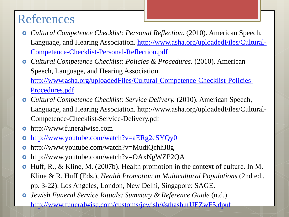- *Cultural Competence Checklist: Personal Reflection.* (2010). American Speech, Language, and Hearing Association. [http://www.asha.org/uploadedFiles/Cultural-](http://www.asha.org/uploadedFiles/Cultural-Competence-Checklist-Personal-Reflection.pdf)[Competence-Checklist-Personal-Reflection.pdf](http://www.asha.org/uploadedFiles/Cultural-Competence-Checklist-Personal-Reflection.pdf)
- *Cultural Competence Checklist: Policies & Procedures.* (2010). American Speech, Language, and Hearing Association.

[http://www.asha.org/uploadedFiles/Cultural-Competence-Checklist-Policies-](http://www.asha.org/uploadedFiles/Cultural-Competence-Checklist-Policies-Procedures.pdf)[Procedures.pdf](http://www.asha.org/uploadedFiles/Cultural-Competence-Checklist-Policies-Procedures.pdf)

- *Cultural Competence Checklist: Service Delivery.* (2010). American Speech, Language, and Hearing Association. http://www.asha.org/uploadedFiles/Cultural-Competence-Checklist-Service-Delivery.pdf
- **o** http://www.funeralwise.com
- <http://www.youtube.com/watch?v=aERg2cSYQy0>
- **o** http://www.youtube.com/watch?v=MudiQchhJ8g
- **o** http://www.youtube.com/watch?v=OAxNgWZP2QA
- Huff, R., & Kline, M. (2007b). Health promotion in the context of culture. In M. Kline & R. Huff (Eds.), *Health Promotion in Multicultural Populations* (2nd ed., pp. 3-22). Los Angeles, London, New Delhi, Singapore: SAGE.

 *Jewish Funeral Service Rituals: Summary & Reference Guide* (n.d.) [http://www.funeralwise.com/customs/jewish/#sthash.nJJEZwF5.dpuf](http://www.funeralwise.com/customs/jewish/sthash.nJJEZwF5.dpuf)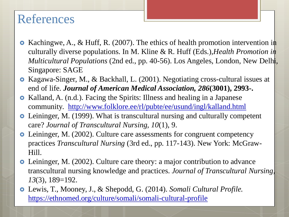- Kachingwe, A., & Huff, R. (2007). The ethics of health promotion intervention in culturally diverse populations. In M. Kline & R. Huff (Eds.),*Health Promotion in Multicultural Populations* (2nd ed., pp. 40-56). Los Angeles, London, New Delhi, Singapore: SAGE
- Kagawa-Singer, M., & Backhall, L. (2001). Negotiating cross-cultural issues at end of life. *Journal of American Medical Association, 286***(3001), 2993-.**
- Kalland, A. (n.d.). Facing the Spirits: Illness and healing in a Japanese community. <http://www.folklore.ee/rl/pubte/ee/usund/ingl/kalland.html>
- Leininger, M. (1999). What is transcultural nursing and culturally competent care? *Journal of Transcultural Nursing, 10*(1), 9.
- Leininger, M. (2002). Culture care assessments for congruent competency practices *Transcultural Nursing* (3rd ed., pp. 117-143). New York: McGraw-Hill.
- Leininger, M. (2002). Culture care theory: a major contribution to advance transcultural nursing knowledge and practices. *Journal of Transcultural Nursing, 13*(3), 189=192.
- Lewis, T., Mooney, J., & Shepodd, G. (2014). *Somali Cultural Profile.*  <https://ethnomed.org/culture/somali/somali-cultural-profile>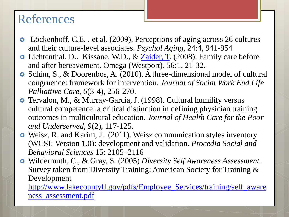- Löckenhoff, C,E. , et al. (2009). Perceptions of aging across 26 cultures and their culture-level associates. *Psychol Aging*, 24:4, 941-954
- Lichtenthal, D.. Kissane, W.D., & [Zaider, T](http://www.ncbi.nlm.nih.gov/pubmed/?term=Zaider T[Author]&cauthor=true&cauthor_uid=18051017). (2008). Family care before and after bereavement. Omega (Westport). 56:1, 21-32.
- **o** Schim, S., & Doorenbos, A. (2010). A three-dimensional model of cultural congruence: framework for intervention. *Journal of Social Work End Life Palliattive Care, 6*(3-4), 256-270.
- Tervalon, M., & Murray-Garcia, J. (1998). Cultural humility versus cultural competence: a critical distinction in defining physician training outcomes in multicultural education. *Journal of Health Care for the Poor and Underserved, 9*(2), 117-125.
- Weisz, R. and Karim, J. (2011). Weisz communication styles inventory (WCSI: Version 1.0): development and validation. *Procedia Social and Behavioral Sciences* 15: 2105–2116
- Wildermuth, C., & Gray, S. (2005) *Diversity Self Awareness Assessment.* Survey taken from Diversity Training: American Society for Training & Development

[http://www.lakecountyfl.gov/pdfs/Employee\\_Services/training/self\\_aware](http://www.lakecountyfl.gov/pdfs/Employee_Services/training/self_awareness_assessment.pdf) [ness\\_assessment.pdf](http://www.lakecountyfl.gov/pdfs/Employee_Services/training/self_awareness_assessment.pdf)